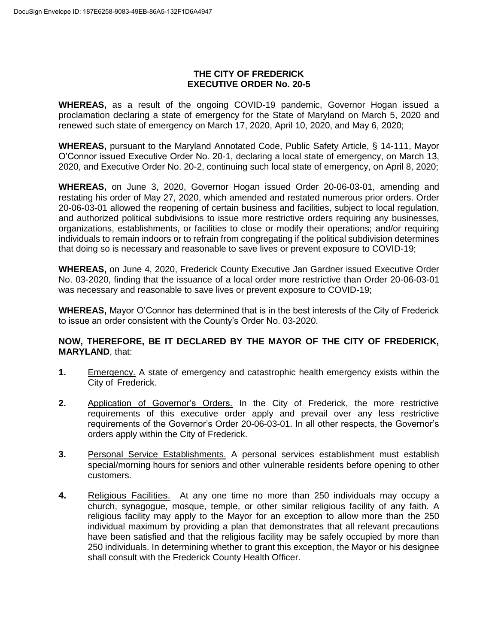## **THE CITY OF FREDERICK EXECUTIVE ORDER No. 20-5**

**WHEREAS,** as a result of the ongoing COVID-19 pandemic, Governor Hogan issued a proclamation declaring a state of emergency for the State of Maryland on March 5, 2020 and renewed such state of emergency on March 17, 2020, April 10, 2020, and May 6, 2020;

**WHEREAS,** pursuant to the Maryland Annotated Code, Public Safety Article, § 14-111, Mayor O'Connor issued Executive Order No. 20-1, declaring a local state of emergency, on March 13, 2020, and Executive Order No. 20-2, continuing such local state of emergency, on April 8, 2020;

**WHEREAS,** on June 3, 2020, Governor Hogan issued Order 20-06-03-01, amending and restating his order of May 27, 2020, which amended and restated numerous prior orders. Order 20-06-03-01 allowed the reopening of certain business and facilities, subject to local regulation, and authorized political subdivisions to issue more restrictive orders requiring any businesses, organizations, establishments, or facilities to close or modify their operations; and/or requiring individuals to remain indoors or to refrain from congregating if the political subdivision determines that doing so is necessary and reasonable to save lives or prevent exposure to COVID-19;

**WHEREAS,** on June 4, 2020, Frederick County Executive Jan Gardner issued Executive Order No. 03-2020, finding that the issuance of a local order more restrictive than Order 20-06-03-01 was necessary and reasonable to save lives or prevent exposure to COVID-19;

**WHEREAS,** Mayor O'Connor has determined that is in the best interests of the City of Frederick to issue an order consistent with the County's Order No. 03-2020.

## **NOW, THEREFORE, BE IT DECLARED BY THE MAYOR OF THE CITY OF FREDERICK, MARYLAND**, that:

- **1.** Emergency. A state of emergency and catastrophic health emergency exists within the City of Frederick.
- **2.** Application of Governor's Orders. In the City of Frederick, the more restrictive requirements of this executive order apply and prevail over any less restrictive requirements of the Governor's Order 20-06-03-01. In all other respects, the Governor's orders apply within the City of Frederick.
- **3.** Personal Service Establishments. A personal services establishment must establish special/morning hours for seniors and other vulnerable residents before opening to other customers.
- **4.** Religious Facilities. At any one time no more than 250 individuals may occupy a church, synagogue, mosque, temple, or other similar religious facility of any faith. A religious facility may apply to the Mayor for an exception to allow more than the 250 individual maximum by providing a plan that demonstrates that all relevant precautions have been satisfied and that the religious facility may be safely occupied by more than 250 individuals. In determining whether to grant this exception, the Mayor or his designee shall consult with the Frederick County Health Officer.